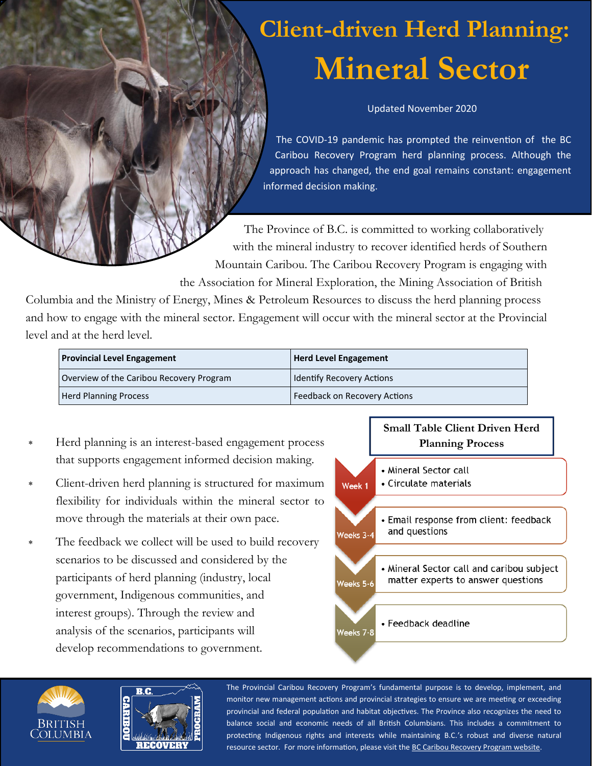# **Client-driven Herd Planning: Mineral Sector**

Updated November 2020

The COVID-19 pandemic has prompted the reinvention of the BC Caribou Recovery Program herd planning process. Although the approach has changed, the end goal remains constant: engagement informed decision making.

The Province of B.C. is committed to working collaboratively with the mineral industry to recover identified herds of Southern Mountain Caribou. The Caribou Recovery Program is engaging with the Association for Mineral Exploration, the Mining Association of British

Columbia and the Ministry of Energy, Mines & Petroleum Resources to discuss the herd planning process and how to engage with the mineral sector. Engagement will occur with the mineral sector at the Provincial level and at the herd level.

| <b>Provincial Level Engagement</b>       | <b>Herd Level Engagement</b>     |
|------------------------------------------|----------------------------------|
| Overview of the Caribou Recovery Program | <b>Identify Recovery Actions</b> |
| <b>Herd Planning Process</b>             | Feedback on Recovery Actions     |

- Herd planning is an interest-based engagement process that supports engagement informed decision making.
- Client-driven herd planning is structured for maximum flexibility for individuals within the mineral sector to move through the materials at their own pace.
- The feedback we collect will be used to build recovery scenarios to be discussed and considered by the participants of herd planning (industry, local government, Indigenous communities, and interest groups). Through the review and analysis of the scenarios, participants will develop recommendations to government.







The Provincial Caribou Recovery Program's fundamental purpose is to develop, implement, and monitor new management actions and provincial strategies to ensure we are meeting or exceeding provincial and federal population and habitat objectives. The Province also recognizes the need to balance social and economic needs of all British Columbians. This includes a commitment to protecting Indigenous rights and interests while maintaining B.C.'s robust and diverse natural resource sector. For more information, please visit the [BC Caribou Recovery Program website.](https://www2.gov.bc.ca/gov/content/environment/plants-animals-ecosystems/wildlife/wildlife-conservation/caribou/recovery-program)